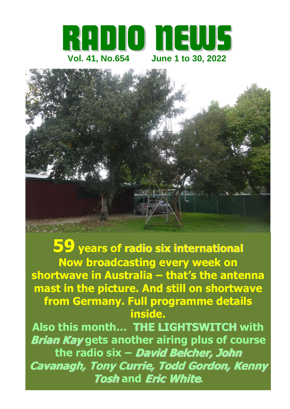



**59 years of radio six international Now broadcasting every week on shortwave in Australia – that's the antenna mast in the picture. And still on shortwave from Germany. Full programme details inside. Also this month… THE LIGHTSWITCH with Brian Kay gets another airing plus of course the radio six – David Belcher, John Cavanagh, Tony Currie, Todd Gordon, Kenny Tosh and Eric White.**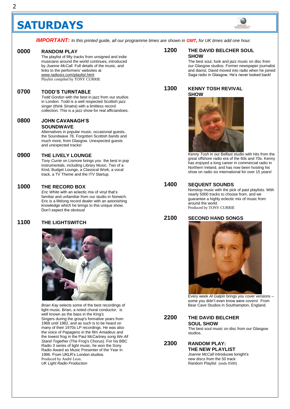## **SATURDAYS**



*IMPORTANT:* In this printed guide, all our programme times are shown in **GMT**, for UK times add one hour. *.*

#### **0000 RANDOM PLAY** 0000

The playlist of fifty tracks from unsigned and indie musicians around the world continues, introduced by *Joanne McCall.* Full details of the music, and links to the performers' websites at [www.radiosix.com/playlist.html](http://www.radiosix.com/playlist.html) Playlist compiled by TONY CURRIE

#### **0700 TODD'S TURNTABLE** 0700

*Todd Gordon* with the best in jazz from our studios in London. Todd is a well respected Scottish jazz singer (think *Sinatra*) with a limitless record collection. This is a jazz show for real afficiandoes.

### **0800 JOHN CAVANAGH'S SOUNDWAVE** Alternatives in popular music, occasional guests, 0800

the Soundwave 78, Forgotten Scottish bands and much more, from Glasgow. Unexpected guests and unexpected tracks!

#### **0900 THE LIVELY LOUNGE** 0900

*Tony Currie* on Lismore brings you the best in pop instrumentals, including Library Music, Two of a Kind, Budget Lounge, a Classical Work, a vocal track, a TV Theme and the ITV Startup.

## **1000 THE RECORD BOX**

*Eric White* with an eclectic mix of vinyl that's familiar and unfamiliar from our studio in Norwich. Eric is a lifelong record dealer with an astonishing knowledge which he brings to this unique show. Don't expect the obvious!

## **1100 THE LIGHTSWITCH**



*Brian Kay* selects some of the best recordings of light music. Brian, a noted choral conductor, is well known as the [bass](https://en.wikipedia.org/wiki/Bass_(vocal_range)) in the [King's](https://en.wikipedia.org/wiki/King%27s_Singers)  [Singers](https://en.wikipedia.org/wiki/King%27s_Singers) during the group's formative years from 1968 until 1982, and as such is to be heard on many of their 1970s LP recordings. He was also the voice of Papageno in the film *[Amadeus](https://en.wikipedia.org/wiki/Amadeus_(film))* and the lowest frog in the [Paul McCartney](https://en.wikipedia.org/wiki/Paul_McCartney) song *[We All](https://en.wikipedia.org/wiki/We_All_Stand_Together)  [Stand Together](https://en.wikipedia.org/wiki/We_All_Stand_Together)* (The Frog's Chorus). For his BBC Radio 3 series of light music, he won the [Sony](https://en.wikipedia.org/wiki/Sony_Radio_Award)  [Radio Award](https://en.wikipedia.org/wiki/Sony_Radio_Award) as Music Presenter of the Year in 1996. From UKLR's London studios. Produced by André Leon. *UK Light Radio Production*

## **1200 THE DAVID BELCHER SOUL SHOW**

The best soul, funk and jazz music on disc from our Glasgow studios. Former newspaper journalist and diarist, David moved into radio when he joined Saga radio in Glasgow. He's never looked back!

## **1300 KENNY TOSH REVIVAL SHOW**



*Kenny Tosh* in our Belfast studio with hits from the great offshore radio era of the 60s and 70s. Kenny has enjoyed a long career in commercial radio in Northern Ireland, and has now been hosting his show on radio six international for over 15 years!

## **1400 SEQUENT SOUNDS**

Nonstop music with the pick of past playlists. With nearly 5000 tracks to choose from, and we guarantee a highly eclectic mix of music from around the world. Produced by TONY CURRIE

## **2100 SECOND HAND SONGS**



Every week *Al Galpin* brings you cover versions – some you didn't even know were covers! From Bear Cave Studios in Southampton, England.

## **2200 THE DAVID BELCHER SOUL SHOW**

The best soul music on disc from our Glasgow studios.

## **2300 RANDOM PLAY: THE NEW PLAYLIST** *Joanne McCall* introduces tonight's new discs from the 50 track Random Playlist (ends 0500)

Ξ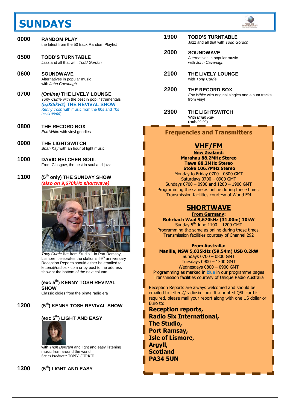## **SUNDAYS**



| 0000 | <b>RANDOM PLAY</b><br>the latest from the 50 track Random Playlist |
|------|--------------------------------------------------------------------|
| 0500 | <b>TODD'S TURNTABLE</b><br>Jazz and all that with Todd Gordon      |

**0600 SOUNDWAVE**  Alternatives in popular music with *John Cavanagh* 

- **0700** *(Online)* **THE LIVELY LOUNGE** *Tony Currie* with the best in pop instrumentals *(5,035kHz)* **THE REVIVAL SHOW** *Kenny Tosh* with music from the 60s and 70s *(ends 08:00)*
- **0800 THE RECORD BOX**  *Eric White* with vinyl goodies
- **0900 THE LIGHTSWITCH** *Brian Kay* with an hour of light music
- **1000 DAVID BELCHER SOUL**  From Glasgow, the best in soul and jazz
- **1100 (5 th only) THE SUNDAY SHOW** *(also on 9,670kHz shortwave)*



*Tony Currie* live from Studio 1 in Port Ramsay, Lismore celebrates the station's  $59<sup>th</sup>$  anniversary Reception Reports should either be emailed to [letters@radiosix.com](mailto:letters@radiosix.com) or by post to the address show at the bottom of the next column.

**(exc 5 th) KENNY TOSH REVIVAL SHOW**

Classic oldies from the pirate radio era

#### **1200 (5 th) KENNY TOSH REVIVAL SHOW**

## **(exc 5th) LIGHT AND EASY**



with *Trish Bertram* and light and easy listening music from around the world. Series Producer: TONY CURRIE

## **1300 (5th) LIGHT AND EASY**

| 1900 | <b>TODD'S TURNTABLE</b><br>Jazz and all that with Todd Gordon |
|------|---------------------------------------------------------------|
| 2000 | <b>SOUNDWAVE</b>                                              |

- Alternatives in popular music with *John Cavanagh*
- **2100 THE LIVELY LOUNGE** with *Tony Currie*
- **2200 THE RECORD BOX**  *Eric White* with original singles and album tracks from vinyl
- **2300 THE LIGHTSWITCH** With *Brian Kay* (ends 00:00)

**Frequencies and Transmitters**

## **VHF/FM**

**New Zealand: Marahau 88.2MHz Stereo Tawa 88.2MHz Stereo Stoke 106.7MHz Stereo** Monday to Friday 0700 - 0800 GMT Saturdays 0700 – 0900 GMT

Sundays 0700 – 0900 and 1200 – 1900 GMT Programming the same as online during these times. Transmission facilities courtesy of World FM

## **SHORTWAVE**

**From Germany: Rohrbach Waal 9,670kHz (31.00m) 10kW** Sunday 5<sup>th</sup> June 1100 - 1200 GMT

Programming the same as online during these times. Transmission facilities courtesy of Channel 292

## **From Australia:**

**Manilla, NSW 5,035kHz (59.54m) USB 0.2kW** Sundays 0700 – 0800 GMT Tuesdays 0900 – 1300 GMT Wednesdays 0800 – 0900 GMT Programming as marked in blue in our programme pages Transmission facilities courtesy of Unique Radio Australia

Reception Reports are always welcomed and should be emailed to [letters@radiosix.com](mailto:letters@radiosix.com) If a printed QSL card is required, please mail your report along with one US dollar or Euro to:

**Reception reports, Radio Six International, The Studio, Port Ramsay, Isle of Lismore, Argyll, Scotland PA34 5UN**